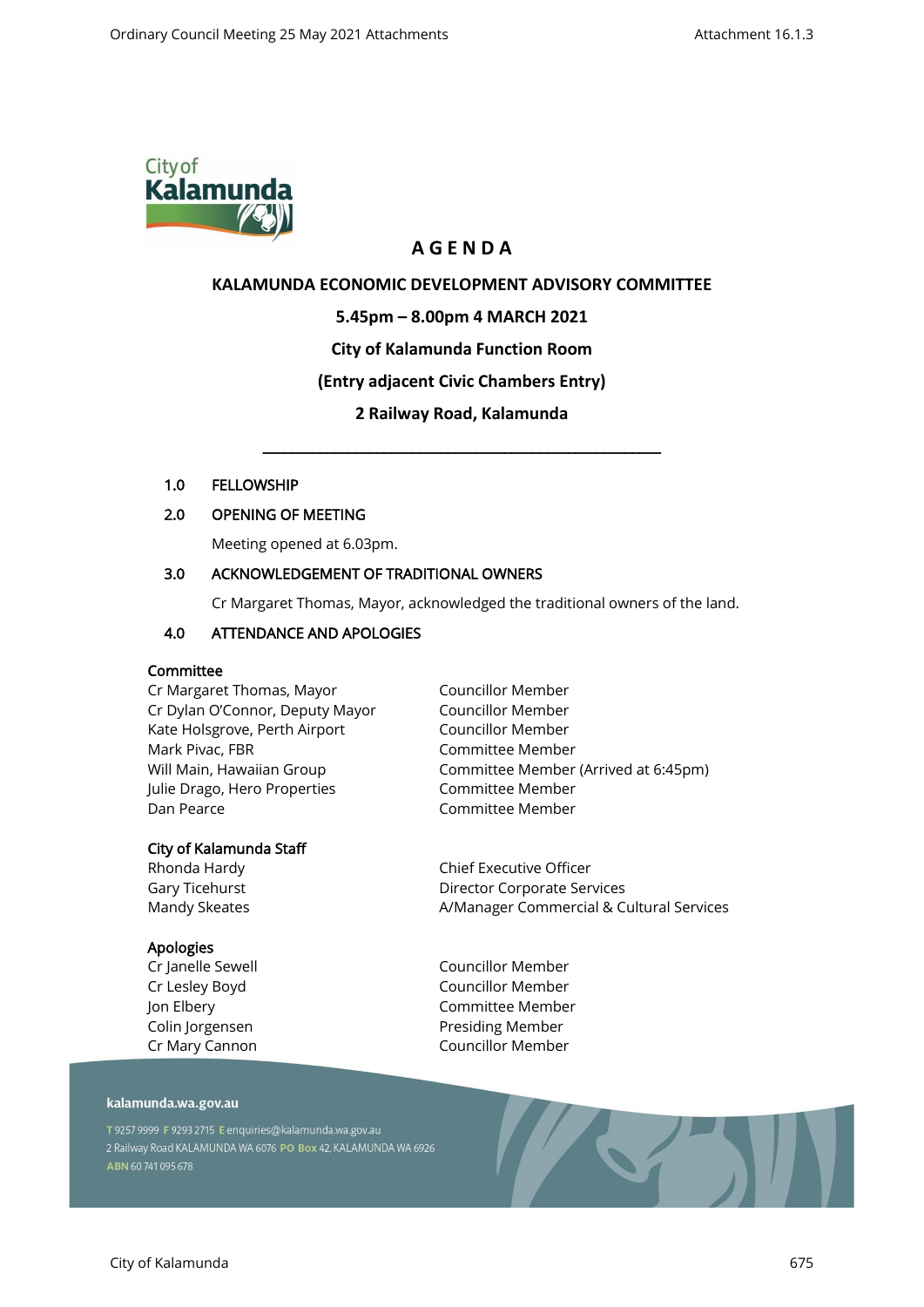

# **A G E N D A**

# **KALAMUNDA ECONOMIC DEVELOPMENT ADVISORY COMMITTEE**

## **5.45pm – 8.00pm 4 MARCH 2021**

# **City of Kalamunda Function Room**

# **(Entry adjacent Civic Chambers Entry)**

# **2 Railway Road, Kalamunda**

\_\_\_\_\_\_\_\_\_\_\_\_\_\_\_\_\_\_\_\_\_\_\_\_\_\_\_\_\_\_\_\_\_\_\_\_\_\_\_\_\_\_\_\_\_\_\_\_\_\_\_\_\_\_\_\_

### 1.0 FELLOWSHIP

# 2.0 OPENING OF MEETING

Meeting opened at 6.03pm.

### 3.0 ACKNOWLEDGEMENT OF TRADITIONAL OWNERS

Cr Margaret Thomas, Mayor, acknowledged the traditional owners of the land.

# 4.0 ATTENDANCE AND APOLOGIES

### Committee

Cr Margaret Thomas, Mayor Cr Dylan O'Connor, Deputy Mayor Kate Holsgrove, Perth Airport Mark Pivac, FBR Will Main, Hawaiian Group Julie Drago, Hero Properties Dan Pearce

### City of Kalamunda Staff

Rhonda Hardy Gary Ticehurst Mandy Skeates

### Apologies

Cr Janelle Sewell Cr Lesley Boyd Jon Elbery Colin Jorgensen Cr Mary Cannon Councillor Member Councillor Member Councillor Member Committee Member Committee Member (Arrived at 6:45pm) Committee Member Committee Member

Chief Executive Officer Director Corporate Services A/Manager Commercial & Cultural Services

Councillor Member Councillor Member Committee Member Presiding Member Councillor Member

#### kalamunda.wa.gov.au

T 9257 9999 F 9293 2715 E enquiries@kalamunda.wa.gov.au 2 Railway Road KALAMUNDA WA 6076 PO Box 42, KALAMUNDA WA 6926 ABN 60741095678

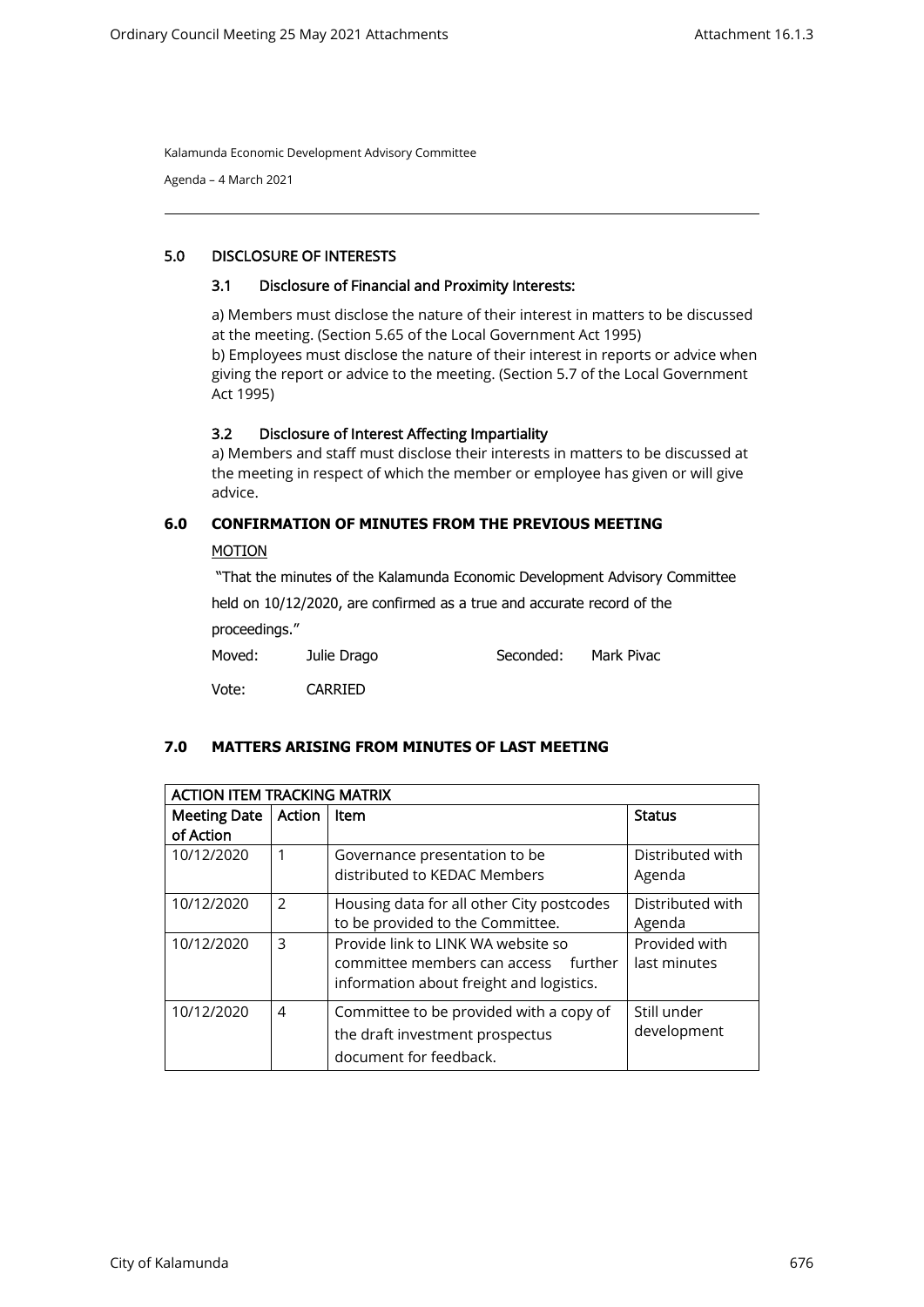Agenda – 4 March 2021

### 5.0 DISCLOSURE OF INTERESTS

#### 3.1 Disclosure of Financial and Proximity Interests:

a) Members must disclose the nature of their interest in matters to be discussed at the meeting. (Section 5.65 of the Local Government Act 1995) b) Employees must disclose the nature of their interest in reports or advice when giving the report or advice to the meeting. (Section 5.7 of the Local Government Act 1995)

### 3.2 Disclosure of Interest Affecting Impartiality

a) Members and staff must disclose their interests in matters to be discussed at the meeting in respect of which the member or employee has given or will give advice.

### **6.0 CONFIRMATION OF MINUTES FROM THE PREVIOUS MEETING**

#### MOTION

"That the minutes of the Kalamunda Economic Development Advisory Committee

held on 10/12/2020, are confirmed as a true and accurate record of the proceedings."

| Moved: | Julie Drago    | Seconded: | Mark Pivac |  |
|--------|----------------|-----------|------------|--|
| Vote:  | <b>CARRIED</b> |           |            |  |

### **7.0 MATTERS ARISING FROM MINUTES OF LAST MEETING**

| <b>ACTION ITEM TRACKING MATRIX</b> |        |                                           |                  |  |  |  |
|------------------------------------|--------|-------------------------------------------|------------------|--|--|--|
| <b>Meeting Date</b>                | Action | Item                                      | <b>Status</b>    |  |  |  |
| of Action                          |        |                                           |                  |  |  |  |
| 10/12/2020                         |        | Governance presentation to be             | Distributed with |  |  |  |
|                                    |        | distributed to KEDAC Members              | Agenda           |  |  |  |
| 10/12/2020                         | 2      | Housing data for all other City postcodes | Distributed with |  |  |  |
|                                    |        | to be provided to the Committee.          | Agenda           |  |  |  |
| 10/12/2020                         | 3      | Provide link to LINK WA website so        | Provided with    |  |  |  |
|                                    |        | committee members can access<br>further   | last minutes     |  |  |  |
|                                    |        | information about freight and logistics.  |                  |  |  |  |
| 10/12/2020                         | 4      | Committee to be provided with a copy of   | Still under      |  |  |  |
|                                    |        | the draft investment prospectus           | development      |  |  |  |
|                                    |        | document for feedback.                    |                  |  |  |  |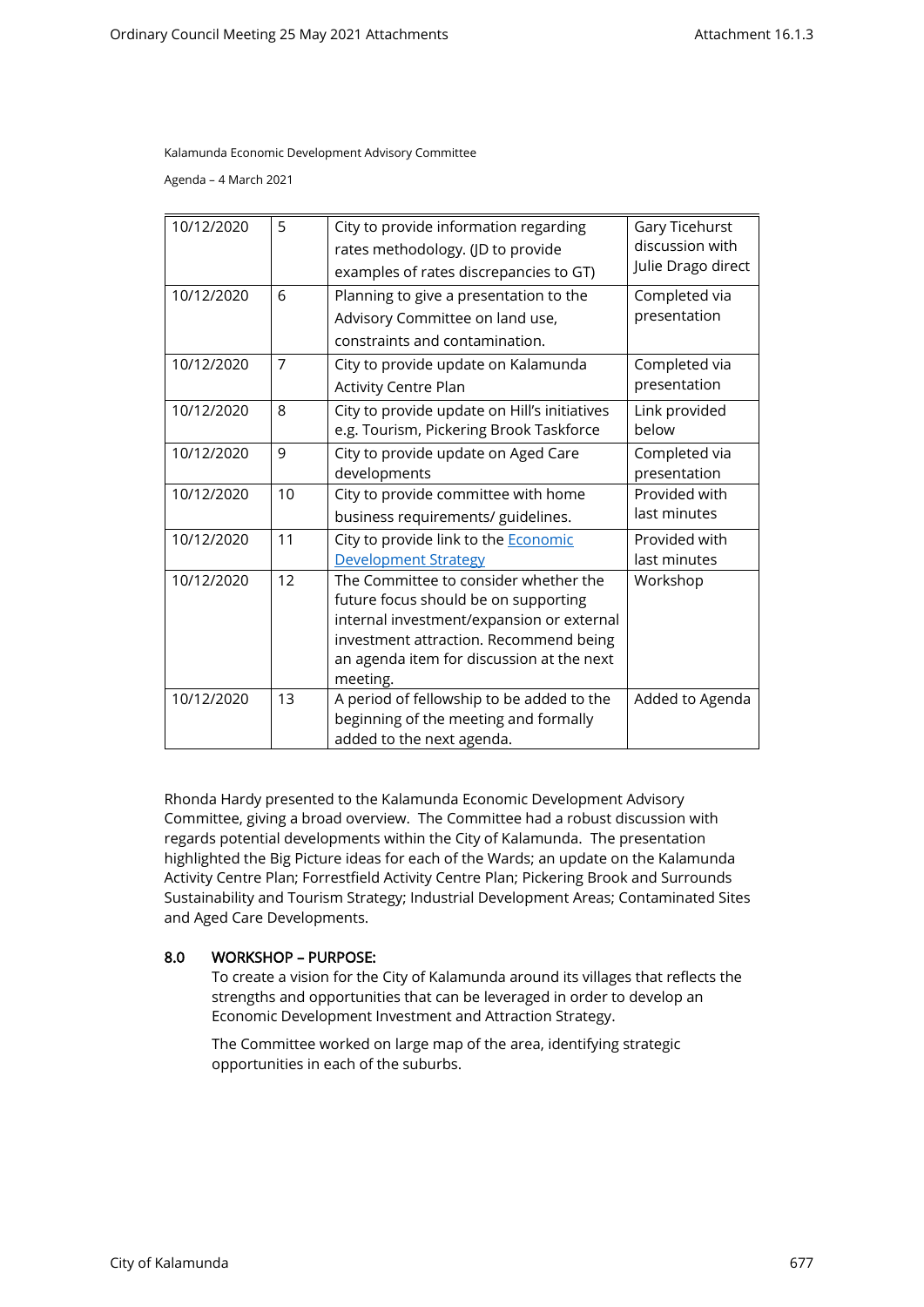Agenda – 4 March 2021

| 10/12/2020 | 5              | City to provide information regarding        | Gary Ticehurst     |
|------------|----------------|----------------------------------------------|--------------------|
|            |                | rates methodology. (JD to provide            | discussion with    |
|            |                | examples of rates discrepancies to GT)       | Julie Drago direct |
| 10/12/2020 | 6              | Planning to give a presentation to the       | Completed via      |
|            |                | Advisory Committee on land use,              | presentation       |
|            |                | constraints and contamination.               |                    |
| 10/12/2020 | $\overline{7}$ | City to provide update on Kalamunda          | Completed via      |
|            |                | Activity Centre Plan                         | presentation       |
| 10/12/2020 | 8              | City to provide update on Hill's initiatives | Link provided      |
|            |                | e.g. Tourism, Pickering Brook Taskforce      | below              |
| 10/12/2020 | 9              | City to provide update on Aged Care          | Completed via      |
|            |                | developments                                 | presentation       |
| 10/12/2020 | 10             | City to provide committee with home          | Provided with      |
|            |                | business requirements/ guidelines.           | last minutes       |
| 10/12/2020 | 11             | City to provide link to the <b>Economic</b>  | Provided with      |
|            |                | <b>Development Strategy</b>                  | last minutes       |
| 10/12/2020 | 12             | The Committee to consider whether the        | Workshop           |
|            |                | future focus should be on supporting         |                    |
|            |                | internal investment/expansion or external    |                    |
|            |                | investment attraction. Recommend being       |                    |
|            |                | an agenda item for discussion at the next    |                    |
|            |                | meeting.                                     |                    |
| 10/12/2020 | 13             | A period of fellowship to be added to the    | Added to Agenda    |
|            |                | beginning of the meeting and formally        |                    |
|            |                | added to the next agenda.                    |                    |

Rhonda Hardy presented to the Kalamunda Economic Development Advisory Committee, giving a broad overview. The Committee had a robust discussion with regards potential developments within the City of Kalamunda. The presentation highlighted the Big Picture ideas for each of the Wards; an update on the Kalamunda Activity Centre Plan; Forrestfield Activity Centre Plan; Pickering Brook and Surrounds Sustainability and Tourism Strategy; Industrial Development Areas; Contaminated Sites and Aged Care Developments.

#### 8.0 WORKSHOP – PURPOSE:

To create a vision for the City of Kalamunda around its villages that reflects the strengths and opportunities that can be leveraged in order to develop an Economic Development Investment and Attraction Strategy.

The Committee worked on large map of the area, identifying strategic opportunities in each of the suburbs.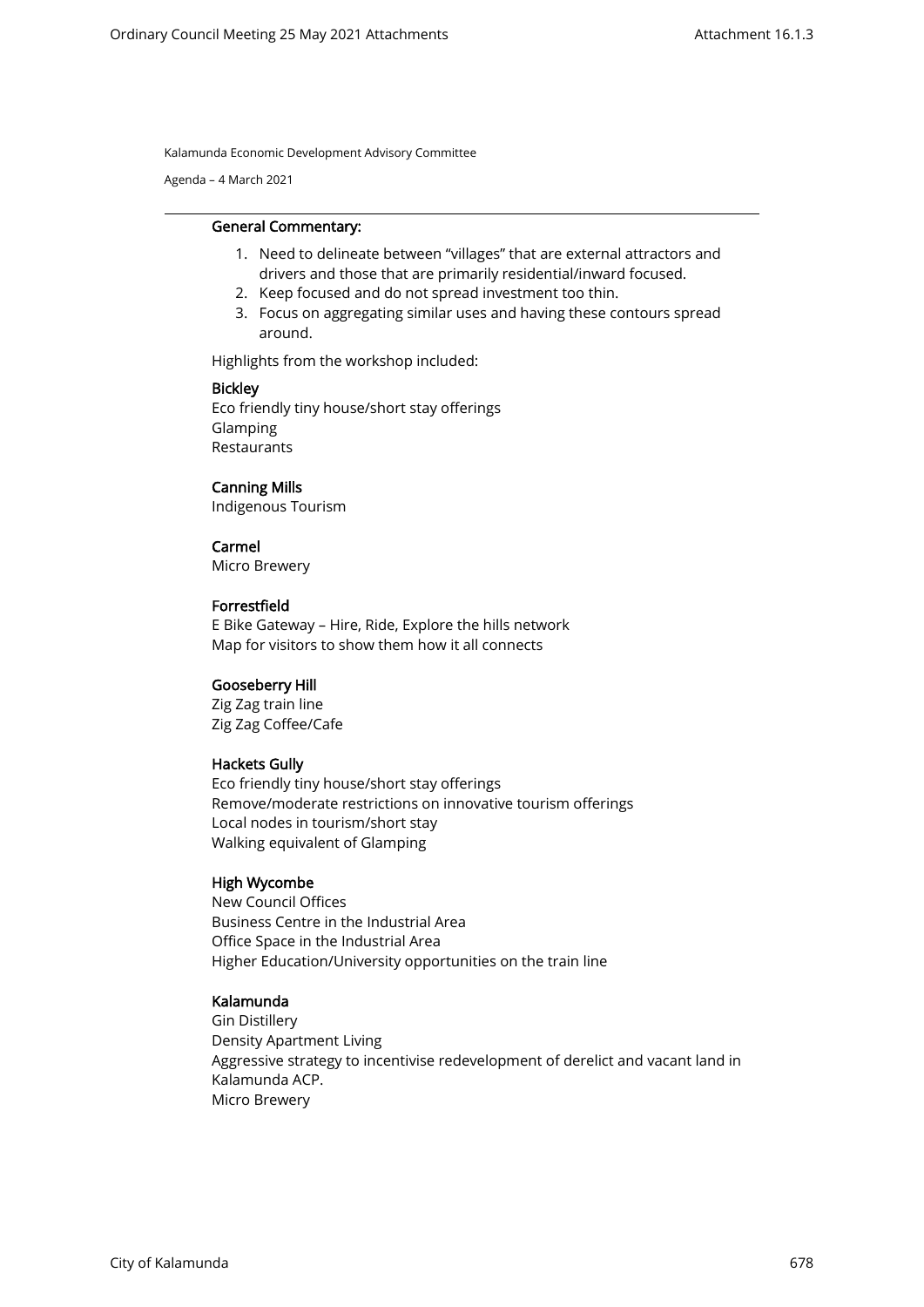Agenda – 4 March 2021

#### General Commentary:

- 1. Need to delineate between "villages" that are external attractors and drivers and those that are primarily residential/inward focused.
- 2. Keep focused and do not spread investment too thin.
- 3. Focus on aggregating similar uses and having these contours spread around.

Highlights from the workshop included:

#### Bickley

Eco friendly tiny house/short stay offerings Glamping Restaurants

#### Canning Mills

Indigenous Tourism

### Carmel

Micro Brewery

#### Forrestfield

E Bike Gateway – Hire, Ride, Explore the hills network Map for visitors to show them how it all connects

### Gooseberry Hill

Zig Zag train line Zig Zag Coffee/Cafe

#### Hackets Gully

Eco friendly tiny house/short stay offerings Remove/moderate restrictions on innovative tourism offerings Local nodes in tourism/short stay Walking equivalent of Glamping

#### High Wycombe

New Council Offices Business Centre in the Industrial Area Office Space in the Industrial Area Higher Education/University opportunities on the train line

#### Kalamunda

Gin Distillery Density Apartment Living Aggressive strategy to incentivise redevelopment of derelict and vacant land in Kalamunda ACP. Micro Brewery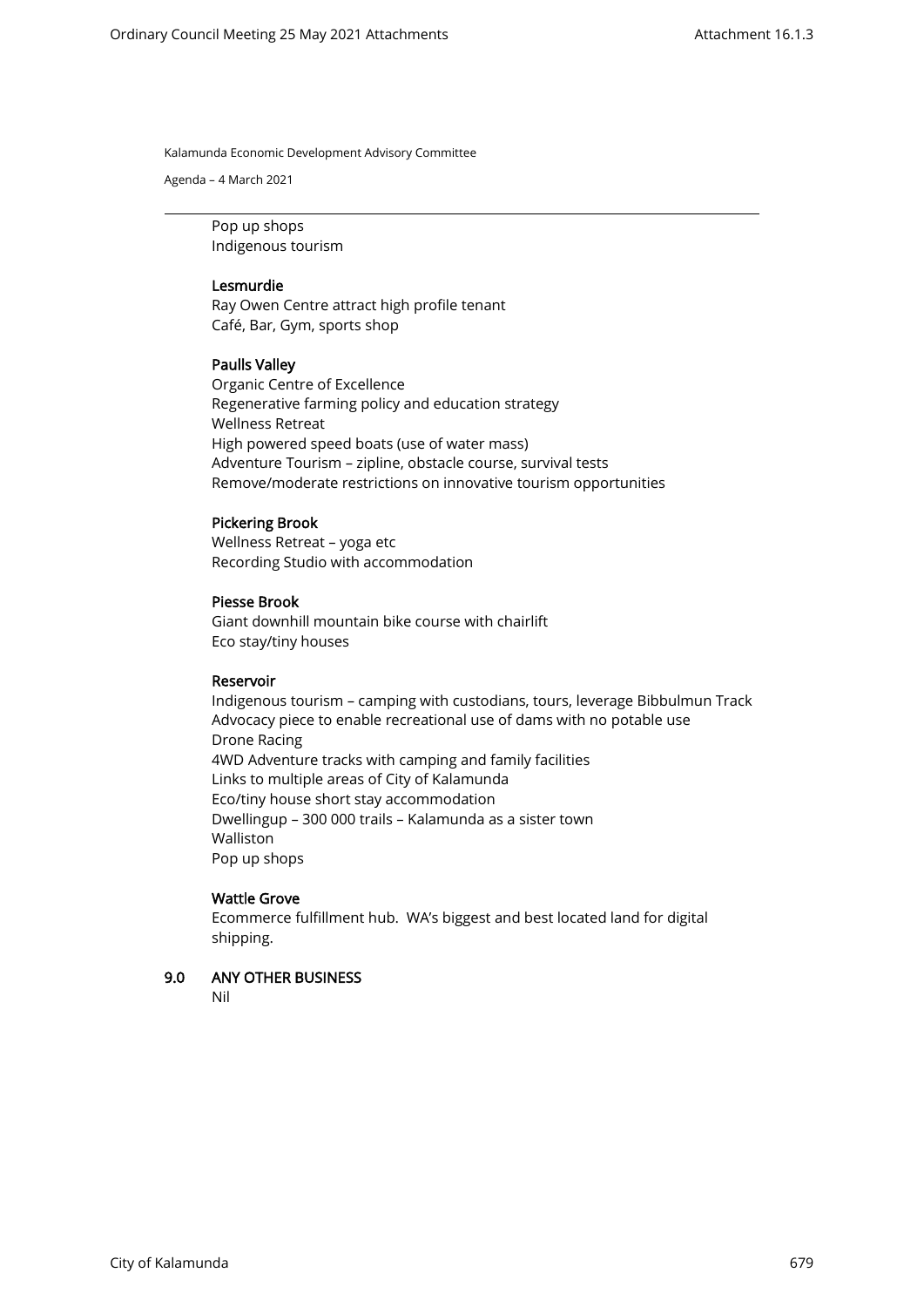Agenda – 4 March 2021

Pop up shops Indigenous tourism

### Lesmurdie

Ray Owen Centre attract high profile tenant Café, Bar, Gym, sports shop

### Paulls Valley

Organic Centre of Excellence Regenerative farming policy and education strategy Wellness Retreat High powered speed boats (use of water mass) Adventure Tourism – zipline, obstacle course, survival tests Remove/moderate restrictions on innovative tourism opportunities

### Pickering Brook

Wellness Retreat – yoga etc Recording Studio with accommodation

### Piesse Brook

Giant downhill mountain bike course with chairlift Eco stay/tiny houses

#### Reservoir

Indigenous tourism – camping with custodians, tours, leverage Bibbulmun Track Advocacy piece to enable recreational use of dams with no potable use Drone Racing 4WD Adventure tracks with camping and family facilities Links to multiple areas of City of Kalamunda Eco/tiny house short stay accommodation Dwellingup – 300 000 trails – Kalamunda as a sister town Walliston Pop up shops

#### Wattle Grove

Ecommerce fulfillment hub. WA's biggest and best located land for digital shipping.

### 9.0 ANY OTHER BUSINESS

Nil